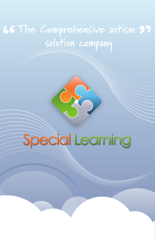# 66<br>" The Comprehensive autism **99 solution company**

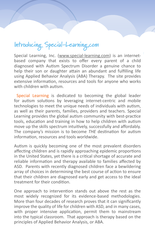**Introducing Special-Learning.com**

Special Learning, Inc. (www.special-learning.com) is an internetbased company that exists to offer every parent of a child diagnosed with Autism Spectrum Disorder a genuine chance to help their son or daughter attain an abundant and fulfilling life using Applied Behavior Analysis (ABA) Therapy. The site provides extensive information, resources and tools for anyone who works with children with autism.

Special Learning is dedicated to becoming the global leader for autism solutions by leveraging internet-centric and mobile technologies to meet the unique needs of individuals with autism, as well as their parents, families, providers and teachers. Special Learning provides the global autism community with best-practice tools, education and training in how to help children with autism move up the skills spectrum intuitively, successfully and affordably. The company's mission is to become *THE* destination for autism information, resources and tools worldwide.

Autism is quickly becoming one of the most prevalent disorders affecting children and is rapidly approaching epidemic proportions in the United States, yet there is a critical shortage of accurate and reliable information and therapy available to families affected by ASD. Parents with recently diagnosed children face a bewildering array of choices in determining the best course of action to ensure that their children are diagnosed early and get access to the ideal treatment for their condition.

One approach to intervention stands out above the rest as the most widely recognized for its evidence-based methodologies. More than four decades of research proves that it can significantly improve the quality of life for children with ASD, and in many cases, with proper intensive application, permit them to mainstream into the typical classroom. That approach is therapy based on the principles of Applied Behavior Analysis, or ABA.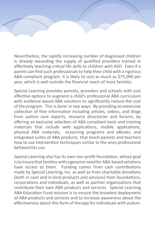Nevertheless, the rapidly increasing number of diagnosed children is already exceeding the supply of qualified providers trained in effectively teaching critical life skills to children with ASD. Even if a parent *can* find such professionals to help their child with a rigorous ABA-compliant program, it is likely to cost as much as \$75,000 per year, which is well outside the financial reach of most families.

Special Learning provides parents, providers and schools with cost effective options to augment a child's professional ABA curriculum with evidence-based ABA solutions to significantly reduce the cost of the program. This is done in two ways: By providing an extensive collection of free information including articles, videos, and blogs from autism care experts, resource directories and forums; by offering an exclusive selection of ABA-compliant tools and training materials that include web applications, mobile applications, physical ABA materials, eLearning programs and eBooks; and integrated suites of ABA products that teach parents and teachers how to use intervention techniques similar to the ones professional behaviorists use.

Special Learning also has its own non-profit foundation, whose goal is to insure that families with a genuine need for ABA-based solutions have access to them. Funding comes from cash contributions made by Special Learning, Inc. as well as from charitable donations (both in cash and in-kind products and services) from foundations, corporations and individuals, as well as partner organizations that contribute their own ABA products and services. Special Learning ABA Education Fund mission is to ensure the broadest deployment of ABA products and services and to increase awareness about the effectiveness about this form of therapy for individuals with autism.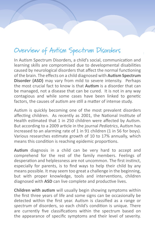### **Overview of Autism Spectrum Disorders**

In Autism Spectrum Disorders, a child's social, communication and learning skills are compromised due to developmental disabilities caused by neurological disorders that affect the normal functioning of the brain. The effects on a child diagnosed with **Autism Spectrum Disorder (ASD)** may vary from mild to severe intensity. Perhaps the most crucial fact to know is that **Autism** is a disorder that can be managed, not a disease that can be cured. It is not in any way contagious and while some cases have been linked to genetic factors, the causes of autism are still a matter of intense study.

Autism is quickly becoming one of the most prevalent disorders affecting children. As recently as 2001, the National Institute of Health estimated that 1 in 250 children were affected by Autism. But according to a 2009 article in the journal *Pediatrics*, Autism has increased to an alarming rate of 1 in 91 children (1 in 56 for boys). Various researches estimate growth of 10 to 17% annually, which means this condition is reaching epidemic proportions.

**Autism** diagnosis in a child can be very hard to accept and comprehend for the rest of the family members. Feelings of desperation and helplessness are not uncommon. The first instinct, especially for parents, is to find ways to help their child by any means possible. It may seem too great a challenge in the beginning, but with proper knowledge, tools and interventions, children diagnosed with **ASD** can live complete and productive lives.

**Children with autism** will usually begin showing symptoms within the first three years of life and some signs can be occasionally be detected within the first year. Autism is classified as a range or *spectrum* of disorders, so each child's condition is unique. There are currently five classifications within the spectrum based on the appearance of specific symptoms and their level of severity.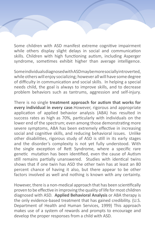Some children with ASD manifest extreme cognitive impairment while others display slight delays in social and communication skills. Children with high functioning autism, including Asperger syndrome, sometimes exhibit higher than average intelligence.

Some individuals diagnosed with ASD may be more socially introverted, while others will enjoy socializing; however all will have some degree of difficulty in communication and social skills. In helping a special needs child, the goal is always to improve skills, and to decrease problem behaviors such as tantrums, aggression and self-injury.

There is no single **treatment approach for autism that works for every individual in every case**.However, rigorous and appropriate application of applied behavior analysis (ABA) has resulted in success rates as high as 70%, particularly with individuals on the lower end of the spectrum; even among those demonstrating more severe symptoms, ABA has been extremely effective in increasing social and cognitive skills, and reducing behavioral issues. Unlike other disabilities, rigorous study of ASD is still in its early stages and the disorder's complexity is not yet fully understood. With the single exception of Rett Syndrome, where a specific rare genetic mutation has been identified, even the cause of Autism still remains partially unanswered. Studies with identical twins shows that if one twin has ASD the other twin has at least an 80 percent chance of having it also, but there appear to be other factors involved as well and nothing is known with any certainty.

However, there is a non-medical approach that has been scientifically proven to be effective in improving the quality of life for most children diagnosed with ASD. **Applied Behavioral Analysis** or ABA therapy is the only evidence-based treatment that has gained credibility. (U.S. Department of Health and Human Services, 1999) This approach makes use of a system of rewards and prompts to encourage and develop the proper responses from a child with ASD.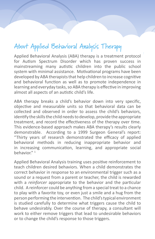## **About Applied Behavioral Analysis Therapy**

Applied Behavioral Analysis (ABA) therapy is a treatment protocol for Autism Spectrum Disorder which has proven success in mainstreaming many autistic children into the public school system with minimal assistance. Motivational programs have been developed by ABA therapists that help children to increase cognitive and behavioral function as well as to promote independence in learning and everyday tasks, so ABA therapy is effective in improving almost all aspects of an autistic child's life.

ABA therapy breaks a child's behavior down into very specific, objective and measurable units so that behavioral data can be collected and observed in order to assess the child's behaviors, identify the skills the child needs to develop, provide the appropriate treatment, and record the effectiveness of the therapy over time. This evidence-based approach makes ABA therapy's results clearly demonstrable. According to a 1999 Surgeon General's report: "Thirty years of research demonstrated the efficacy of applied behavioral methods in reducing inappropriate behavior and in increasing communication, learning, and appropriate social behavior." <sup>1</sup>

Applied Behavioral Analysis training uses positive reinforcement to teach children desired behaviors. When a child demonstrates the correct behavior in response to an environmental trigger such as a sound or a request from a parent or teacher, the child is rewarded with a *reinforcer* appropriate to the behavior and the particular child. A reinforcer could be anything from a special treat to a chance to play with a favorite toy, or even just a smile and a hug from the person performing the intervention. The child's typical environment is studied carefully to determine what triggers cause the child to behave undesirably. Over the course of therapy, a consultant will work to either remove triggers that lead to undesirable behaviors or to change the child's response to those triggers.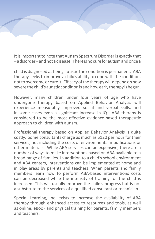It is important to note that Autism Spectrum Disorder is exactly that – a disorder – and not a disease. There is no cure for autism and once a

child is diagnosed as being autistic the condition is permanent. ABA therapy seeks to improve a child's ability to cope with the condition, not to overcome or cure it. Efficacy of the therapy will depend on how severe the child's autistic condition is and how early therapy is begun.

However, many children under four years of age who have undergone therapy based on Applied Behavior Analysis will experience measurably improved social and verbal skills, and in some cases even a significant increase in IQ. ABA therapy is considered to be the most effective evidence-based therapeutic approach to children with autism.

Professional therapy based on Applied Behavior Analysis is quite costly. Some consultants charge as much as \$120 per hour for their services, not including the costs of environmental modifications or other materials. While ABA services can be expensive, there are a number of ways to make interventions based on ABA available to a broad range of families. In addition to a child's school environment and ABA centers, interventions can be implemented at home and in play areas by parents and teachers. When parents and family members learn how to perform ABA-based interventions costs can be decreased while the intensity of training for the child is increased. This will usually improve the child's progress but is not a substitute to the services of a qualified consultant or technician.

Special Learning, Inc. exists to increase the availability of ABA therapy through enhanced access to resources and tools, as well as online, eBook and physical training for parents, family members and teachers.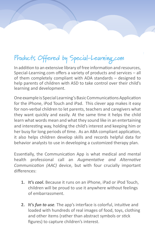# **Products Offered by Special-Learning.com**

In addition to an extensive library of free information and resources, Special-Learning.com offers a variety of products and services – all of them completely compliant with ADA standards – designed to help parents of children with ASD to take control over their child's learning and development.

One example is Special Learning's Basic Communications Application for the iPhone, iPod Touch and iPad. This clever app makes it easy for non-verbal children to let parents, teachers and caregivers what they want quickly and easily. At the same time it helps the child learn what words mean and what they sound like in an entertaining and interesting way, holding the child's interest and keeping him or her busy for long periods of time. As an ABA compliant application, it also helps children develop skills and records helpful data for behavior analysts to use in developing a customized therapy plan.

Essentially, the Communication App is what medical and mental health professional call an *Augmentative and Alternative Communication (AAC)* device, but with four crucially important differences:

- **1. It's** *cool***.** Because it runs on an iPhone, iPad or iPod Touch, children will be proud to use it anywhere without feelings of embarrassment.
- **2. It's** *fun to use.* The app's interface is colorful, intuitive and loaded with hundreds of real images of food, toys, clothing and other items (rather than abstract symbols or stick figures) to capture children's interest.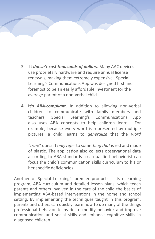- 3. **It** *doesn't cost thousands of dollars.* Many AAC devices use proprietary hardware and require annual license renewals, making them extremely expensive. Special Learning's Communications App was designed first and foremost to be an easily affordable investment for the average parent of a non-verbal child.
	- **4. It's** *ABA-compliant*. In addition to allowing non-verbal children to communicate with family members and teachers, Special Learning's Communications App also uses ABA concepts to help children learn. For example, because every word is represented by multiple pictures, a child learns to *generalize* that the *word*

*"trai*n" doesn't *only refe*r to somet*hing that* is red and made of plastic. The application also collects observational data according to ABA standards so a qualified behaviorist can focus the child's communication skills curriculum to his or her specific deficiencies.

Another of Special Learning's premier products is its eLearning program, ABA curriculum and detailed lesson plans; which teach parents and others involved in the care of the child the basics of implementing ABA-based interventions in the home and school setting. By implementing the techniques taught in this program, parents and others can quickly learn how to do many of the things professional behavior techs do to modify behavior and improve communication and social skills and enhance cognitive skills in diagnosed children.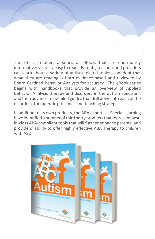The site also offers a series of eBooks that are enormously informative, yet very easy to read. Parents, teachers and providers can learn about a variety of autism-related topics, confident that what they are reading is both evidence-based and reviewed by Board Certified Behavior Analysts for accuracy. The eBook series begins with handbooks that provide an overview of Applied Behavior Analysis therapy and disorders in the autism spectrum, and then advance to detailed guides that drill down into each of the disorders, therapeutic principles and teaching strategies.

In addition to its own products, the ABA experts at Special Learning have identified a number of third party products that represent bestin-class ABA-compliant tools that will further enhance parents' and providers' ability to offer highly effective ABA Therapy to children with ASD.

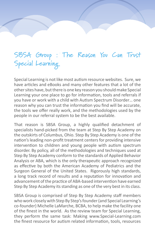## **SBSA Group : The Reason You Can Trust Special Learning**

Special Learning is not like most autism resource websites. Sure, we have articles and eBooks and many other features that a lot of the other sites have, but there is one key reason you should make Special Learning your one place to go for information, tools and referrals if you have or work with a child with Autism Spectrum Disorder… one reason why you can trust the information you find will be accurate, the tools we offer really work, and the methodologies used by the people in our referral system to be the best available.

That reason is SBSA Group, a highly qualified detachment of specialists hand-picked from the team at Step By Step Academy on the outskirts of Columbus, Ohio. Step By Step Academy is one of the nation's leading non-profit treatment centers for providing intensive intervention to children and young people with autism spectrum disorder. By policy, all of the methodologies and techniques used at Step By Step Academy conform to the standards of Applied Behavior Analysis or ABA, which is the only therapeutic approach recognized as effective by both the American Academy of Pediatrics and the Surgeon General of the United States. Rigorously high standards, a long track record of results and a reputation for innovation and advancement of the practice of ABA-based intervention have earned Step By Step Academy its standing as one of the very best in its class.

SBSA Group is comprised of Step By Step Academy staff members who work closely with Step By Step's founder (and Special Learning's co-founder) Michelle LaMarche, BCBA, to help make the facility one of the finest in the world. As the review team for Special Learning, they perform the same task: Making www.Special-Learning.com the finest resource for autism related information, tools, resources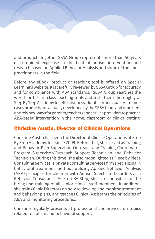and products.Together SBSA Group represents more than 50 years of combined expertise in the field of autism intervention and research based on Applied Behavior Analysis and some of the finest practitioners in the field.

Before any eBook, product or teaching tool is offered on Special Learning's website, it is carefully reviewed by SBSA Group for accuracy and for compliance with ABA standards. SBSA Group searches the world for best-in-class teaching tools and tests them thoroughly at Step By Step Academy for effectiveness, durability and quality. In some cases products are actually developed by the SBSA team and represent entirely new ways for parents, teachers and service providers to practice ABA-based intervention in the home, classroom or clinical setting.

#### Christine Austin, Director of Clinical Operations

Christine Austin has been the Director of Clinical Operations at Step By Step Academy, Inc. since 2009. Before that, she served as Training and Behavior Plan Supervisor, Outreach and Training Coordinator, Program Supervisor/Outreach Support Technician and Behavior Technician. During this time, she also moonlighted at Piece by Piece Consulting Services, a private consulting services firm specializing in behavioral treatment methods utilizing Applied Behavior Analysis (ABA) principles for children with Autism Spectrum Disorders as a Behavior Consultant. At Step By Step, she is responsible for the hiring and training of all senior clinical staff members. In addition, she trains Clinic Directors on how to develop and monitor treatment and behavior plans, and teaches Clinical Assistants the principles of ABA and monitoring procedures.

Christine regularly presents at professional conferences on topics related to autism and behavioral support.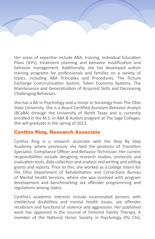Her areas of expertise include ABA, training, Individual Education Plans (IEPs), treatment planning and behavior modification and behavior management. Additionally, she has developed autism training programs for professionals and families on a variety of topics, including ABA Principles and Procedures, The Picture Exchange Communication System, Token Economy Systems, The Maintenance and Generalization of Acquired Skills and Decreasing Challenging Behaviors.

She has a BA in Psychology and a minor in Sociology from The Ohio State University. She is a Board Certified Assistant Behavior Analyst (BCaBA) through the University of North Texas and is currently enrolled in the M.S. in ABA & Autism program at The Sage Colleges. She will graduate in the spring of 2012.

#### Cynthia Ring, Research Associate

Cynthia Ring is a research associate with the Step By Step Academy, where previously she held the positions of Transition Specialist, Compliance Officer and Behavior Technician. Her current responsibilities include designing research studies, protocols and evaluation tools, data collection and analysis and writing and editing grants and reports. Prior to this, she worked as a college intern for the Ohio Department of Rehabilitation and Corrections Bureau of Mental Health Services, where she was involved with program development and benchmarking sex offender programming and regulations among states.

Cynthia's academic interests include incarcerated persons with intellectual disabilities and mental health issues, sex offender recidivism and functions of violence and aggression. Her published work has appeared in the Journal of Feminist Family Therapy. A member of the National Honor Society in Psychology (Psi Chi),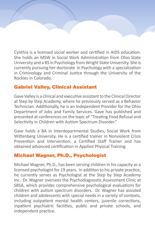Cynthia is a licensed social worker and certified in AIDS education. She holds an MSW in Social Work Administration from Ohio State University and a BS in Psychology from Wright State University. She is currently pursuing her doctorate in Psychology with a specialization in Criminology and Criminal Justice through the University of the Rockies in Colorado.

#### Gabriel Valley, Clinical Assistant

Gave Valley is a clinical and executive assistant to the Clinical Director at Step by Step Academy, where he previously served as a Behavior Technician. Additionally, he is an Independent Provider for the Ohio Department of Jobs and Family Services. Gave has published and presented at conferences on the topic of "Treating Food Refusal and Selectivity in Children with Autism Spectrum Disorder."

Gave holds a BA in Interdepartmental Studies, Social Work from Wittenberg University. He is a certified trainer in Nonviolent Crisis Prevention and Intervention, a Certified Staff Trainer and has obtained advanced certification in Applied Physical Training.

#### Michael Wagner, Ph.D., Psychologist

Michael Wagner, Ph.D., has been serving children in his capacity as a licensed psychologist for 19 years. In addition to his private practice, he currently serves as Psychologist at the Step by Step Academy Inc. Dr. Wagner oversees the Psychodiagnostic Assessment Clinic at SBSA, which provides comprehensive psychological evaluations for children with autism spectrum disorders. Dr. Wagner has assisted children and adolescents with special needs in a variety of contexts, including outpatient mental health centers, juvenile corrections, inpatient psychiatric facilities, public and private schools, and independent practice.